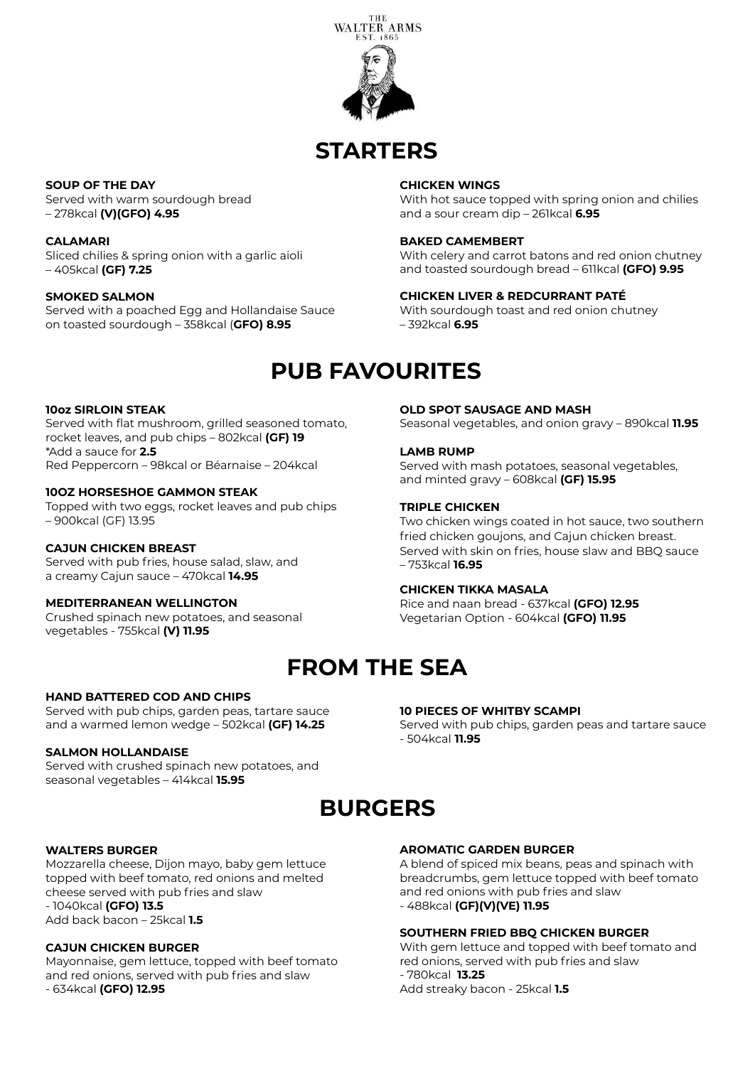

# **STARTERS**

**SOUP OF THE DAY** 

Served with warm sourdough bread – 278kcal **(V)(GFO) 4.95**

**CALAMARI** Sliced chilies & spring onion with a garlic aioli – 405kcal **(GF) 7.25**

### **SMOKED SALMON**

Served with a poached Egg and Hollandaise Sauce on toasted sourdough – 358kcal (**GFO) 8.95**

### **CHICKEN WINGS**

With hot sauce topped with spring onion and chilies and a sour cream dip – 261kcal **6.95**

### **BAKED CAMEMBERT**

**LAMB RUMP**

**TRIPLE CHICKEN**

– 753kcal **16.95**

- 504kcal **11.95**

**CHICKEN TIKKA MASALA**

With celery and carrot batons and red onion chutney and toasted sourdough bread – 611kcal **(GFO) 9.95**

Seasonal vegetables, and onion gravy – 890kcal **11.95**

Two chicken wings coated in hot sauce, two southern fried chicken goujons, and Cajun chicken breast. Served with skin on fries, house slaw and BBQ sauce

Served with mash potatoes, seasonal vegetables,

### **CHICKEN LIVER & REDCURRANT PATÉ**

**OLD SPOT SAUSAGE AND MASH** 

and minted gravy – 608kcal **(GF) 15.95**

Rice and naan bread - 637kcal **(GFO) 12.95** Vegetarian Option - 604kcal **(GFO) 11.95**

With sourdough toast and red onion chutney – 392kcal **6.95**

### **PUB FAVOURITES**

### **10oz SIRLOIN STEAK**

Served with flat mushroom, grilled seasoned tomato, rocket leaves, and pub chips – 802kcal **(GF) 19** \*Add a sauce for **2.5**  Red Peppercorn – 98kcal or Béarnaise – 204kcal

### **10OZ HORSESHOE GAMMON STEAK**

Topped with two eggs, rocket leaves and pub chips – 900kcal (GF) 13.95

### **CAJUN CHICKEN BREAST**

Served with pub fries, house salad, slaw, and a creamy Cajun sauce – 470kcal **14.95**

### **MEDITERRANEAN WELLINGTON**

Crushed spinach new potatoes, and seasonal vegetables - 755kcal **(V) 11.95**

# **FROM THE SEA**

### **HAND BATTERED COD AND CHIPS**

Served with pub chips, garden peas, tartare sauce and a warmed lemon wedge – 502kcal **(GF) 14.25**

#### **SALMON HOLLANDAISE**

Served with crushed spinach new potatoes, and seasonal vegetables – 414kcal **15.95**

## **BURGERS**

### **WALTERS BURGER**

Mozzarella cheese, Dijon mayo, baby gem lettuce topped with beef tomato, red onions and melted cheese served with pub fries and slaw - 1040kcal **(GFO) 13.5**  Add back bacon – 25kcal **1.5**

### **CAJUN CHICKEN BURGER**

Mayonnaise, gem lettuce, topped with beef tomato and red onions, served with pub fries and slaw - 634kcal **(GFO) 12.95**

#### **AROMATIC GARDEN BURGER**

**10 PIECES OF WHITBY SCAMPI**

A blend of spiced mix beans, peas and spinach with breadcrumbs, gem lettuce topped with beef tomato and red onions with pub fries and slaw - 488kcal **(GF)(V)(VE) 11.95**

Served with pub chips, garden peas and tartare sauce

#### **SOUTHERN FRIED BBQ CHICKEN BURGER**

With gem lettuce and topped with beef tomato and red onions, served with pub fries and slaw - 780kcal **13.25** Add streaky bacon - 25kcal **1.5**